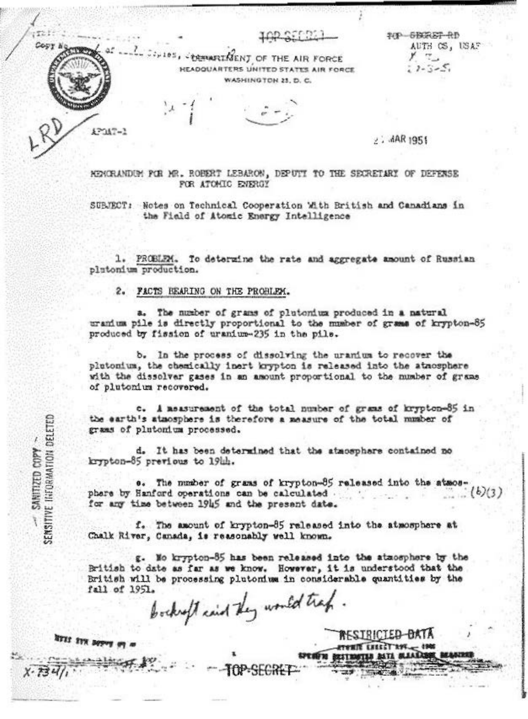TOP SERET RD AUTH CS, USAF  $\tau_{-}$  $2 - 3 - 5$ 

. ORWARD SENT OF THE AIR FORCE HEADQUARTERS UNITED STATES AIR FORCE WASHINGTON 23, D. C.

 $2.4AR1951$ 

RESIRICIE<del>D DATA</del>

MENGRANDEM FOR MR. ROBERT LEBARON, DEPUTI TO THE SECRETARY OF DEFENSE FOR ATOMIC ENERGY

SUBJECT: Notes on Technical Cooperation With British and Canadians in the Field of Atomic Energy Intelligence

1. PROBLEM. To determine the rate and aggregate amount of Russian plutonium production.

2. FACTS BEARING ON THE PROBLEM.

a. The number of grams of plutonium produced in a natural uranium pile is directly proportional to the number of grams of krypton-85 produced by fission of uranium-235 in the pile.

b. In the process of dissolving the uranium to recover the plutonium, the chemically inert krypton is released into the atmosphere with the dissolver gases in an amount proportional to the number of grams of plutonium recovered.

c. A measurement of the total number of grams of krypton-85 in the earth's atmosphere is therefore a measure of the total number of grams of plutonium processed.

d. It has been determined that the atmosphere contained no krypton-85 previous to 19th.

e. The number of grams of krypton-85 released into the atmos- $(b)(3)$ phere by Hanford operations can be calculated. for any time between 1945 and the present date.

f. The amount of krypton-85 released into the atmosphere at Chalk River, Canada, is reasonably well known.

g. Mo krypton-85 has been released into the atmosphere by the British to date as far as we know. However, it is understood that the British will be processing plutomium in considerable quantities by the fall of 1951.

bockept cand they would track.

TOP-SECRET

NYII IVN BOYOUT

WINDOWS - SANTIZED COPY -

すだま

Copy h

**THEFT** 

12047-1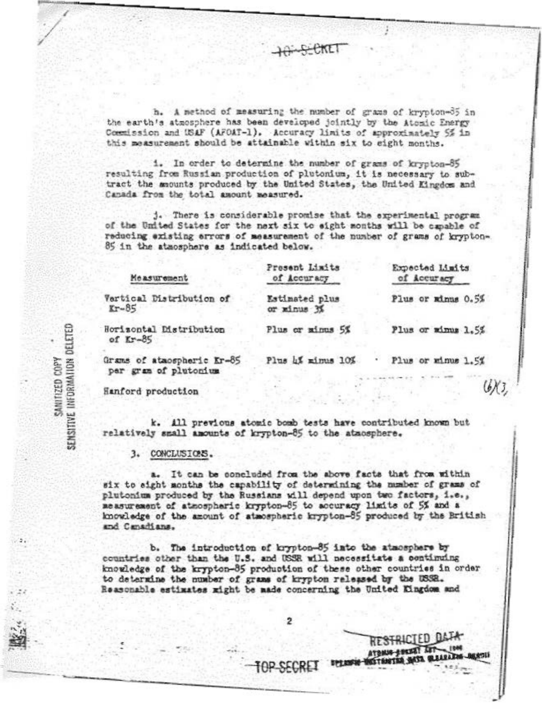h. A method of measuring the number of grams of krypton-35 in the earth's atmosphere has been developed jointly by the Atomic Energy Commission and USAF (AFOAT-1). Accuracy limits of approximately 5% in this measurement should be attainable within six to eight months.

i. In order to determine the number of grams of krypton-85 resulting from Russian production of plutonium, it is necessary to subtract the amounts produced by the United States, the United Kingdom and Canada from the total amount measured.

j. There is considerable promise that the experimental program of the United States for the next six to eight months will be capable of reducing existing errors of measurement of the number of grams of krypton-85 in the atmosphere as indicated below.

| Measurement                         | Present Limits<br>of Accuracy    | Expected Limits<br>of Accuracy |
|-------------------------------------|----------------------------------|--------------------------------|
| ertical Distribution of<br>$r - 85$ | Estimated plus<br>or minus 3%    | Plus or minus 0.5%             |
| orizontal Distribution<br>of Kr-85  | Plus or minus 5%                 | Plus or minus 1.5%             |
| nous of stunenhouse rufis           | $D$ las $\mathcal{A}$ -important | Division and we are in the     |

par gram of plutonium

RESTRICTED DATA

ATOMIC LOCAL AUTO **SETHETEN NATE WALLEN** 

 $-1900$ 

Hanford production

k. All previous atomic bomb tests have contributed known but relatively small amounts of krypton-85 to the atmosphere.

3. CONCLUSIONS.

a. It can be concluded from the above facts that from within six to sight months the capability of determining the number of grams of plutonium produced by the Russians will depend upon two factors, i.e., measurement of atmospheric krypton-85 to accuracy limits of 5% and a knowledge of the amount of atmospheric krypton-85 produced by the British and Canadians.

b. The introduction of krypton-85 into the atmosphere by countries other than the U.S. and USSE will necessitate a continuing knowledge of the krypton-85 production of these other countries in order to determine the number of grams of krypton released by the USSR. Reasonable estimates might be made concerning the United Kingdom and

н

2